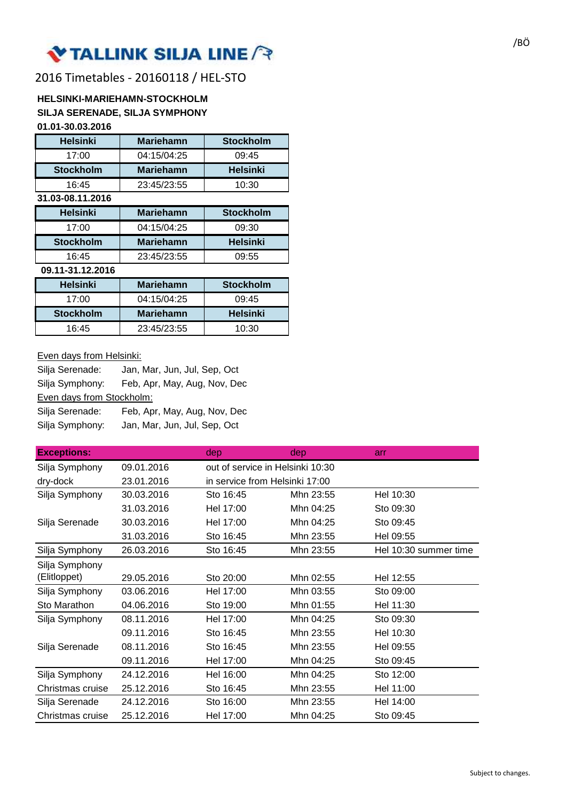# VTALLINK SILJA LINE ?

## 2016 Timetables - 20160118 / HEL-STO

#### **HELSINKI-MARIEHAMN-STOCKHOLM SILJA SERENADE, SILJA SYMPHONY 01.01-30.03.2016**

| <u>U I .U I -JU.UJ.ZU I U</u> |                  |                  |
|-------------------------------|------------------|------------------|
| <b>Helsinki</b>               | Mariehamn        | <b>Stockholm</b> |
| 17:00                         | 04:15/04:25      | 09:45            |
| <b>Stockholm</b>              | Mariehamn        | Helsinki         |
| 16:45                         | 23:45/23:55      | 10:30            |
| 31.03-08.11.2016              |                  |                  |
| <b>Helsinki</b>               | Mariehamn        | <b>Stockholm</b> |
| 17:00                         | 04:15/04:25      | 09:30            |
| <b>Stockholm</b>              | Mariehamn        | Helsinki         |
| 16:45                         | 23:45/23:55      | 09:55            |
| 09.11-31.12.2016              |                  |                  |
| <b>Helsinki</b>               | <b>Mariehamn</b> | <b>Stockholm</b> |
| 17:00                         | 04:15/04:25      | 09:45            |
| <b>Stockholm</b>              | <b>Mariehamn</b> | Helsinki         |
| 16:45                         | 23:45/23:55      | 10:30            |

## Even days from Helsinki:

| Silja Serenade:           | Jan, Mar, Jun, Jul, Sep, Oct |
|---------------------------|------------------------------|
| Silja Symphony:           | Feb, Apr, May, Aug, Nov, Dec |
| Even days from Stockholm: |                              |
| Silja Serenade:           | Feb, Apr, May, Aug, Nov, Dec |
| Silja Symphony:           | Jan, Mar, Jun, Jul, Sep, Oct |

| <b>Exceptions:</b> |            | dep                              | dep       | arr                   |
|--------------------|------------|----------------------------------|-----------|-----------------------|
| Silja Symphony     | 09.01.2016 | out of service in Helsinki 10:30 |           |                       |
| dry-dock           | 23.01.2016 | in service from Helsinki 17:00   |           |                       |
| Silja Symphony     | 30.03.2016 | Sto 16:45                        | Mhn 23:55 | Hel 10:30             |
|                    | 31.03.2016 | Hel 17:00                        | Mhn 04:25 | Sto 09:30             |
| Silja Serenade     | 30.03.2016 | Hel 17:00                        | Mhn 04:25 | Sto 09:45             |
|                    | 31.03.2016 | Sto 16:45                        | Mhn 23:55 | Hel 09:55             |
| Silja Symphony     | 26.03.2016 | Sto 16:45                        | Mhn 23:55 | Hel 10:30 summer time |
| Silja Symphony     |            |                                  |           |                       |
| (Elitloppet)       | 29.05.2016 | Sto 20:00                        | Mhn 02:55 | Hel 12:55             |
| Silja Symphony     | 03.06.2016 | Hel 17:00                        | Mhn 03:55 | Sto 09:00             |
| Sto Marathon       | 04.06.2016 | Sto 19:00                        | Mhn 01:55 | Hel 11:30             |
| Silja Symphony     | 08.11.2016 | Hel 17:00                        | Mhn 04:25 | Sto 09:30             |
|                    | 09.11.2016 | Sto 16:45                        | Mhn 23:55 | Hel 10:30             |
| Silja Serenade     | 08.11.2016 | Sto 16:45                        | Mhn 23:55 | Hel 09:55             |
|                    | 09.11.2016 | Hel 17:00                        | Mhn 04:25 | Sto 09:45             |
| Silja Symphony     | 24.12.2016 | Hel 16:00                        | Mhn 04:25 | Sto 12:00             |
| Christmas cruise   | 25.12.2016 | Sto 16:45                        | Mhn 23:55 | Hel 11:00             |
| Silja Serenade     | 24.12.2016 | Sto 16:00                        | Mhn 23:55 | Hel 14:00             |
| Christmas cruise   | 25.12.2016 | Hel 17:00                        | Mhn 04:25 | Sto 09:45             |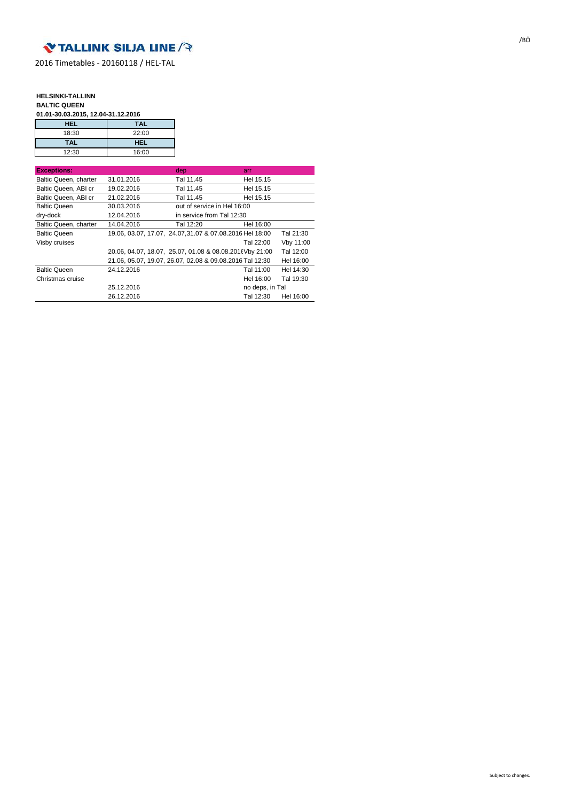

2016 Timetables - 20160118 / HEL-TAL

#### **HELSINKI-TALLINN BALTIC QUEEN**

**01.01-30.03.2015, 12.04-31.12.2016**

| HEL        | <b>TAL</b> |
|------------|------------|
| 18:30      | 22:00      |
| <b>TAL</b> | <b>HEL</b> |
| 12:30      | 16:00      |

| <b>Exceptions:</b>    |                                                          | dep                         | arr             |           |
|-----------------------|----------------------------------------------------------|-----------------------------|-----------------|-----------|
| Baltic Queen, charter | 31.01.2016                                               | Tal 11.45                   | Hel 15.15       |           |
| Baltic Queen, ABI cr  | 19.02.2016                                               | Tal 11.45                   | Hel 15.15       |           |
| Baltic Queen, ABI cr  | 21.02.2016                                               | Tal 11.45                   | Hel 15.15       |           |
| <b>Baltic Queen</b>   | 30.03.2016                                               | out of service in Hel 16:00 |                 |           |
| dry-dock              | 12.04.2016                                               | in service from Tal 12:30   |                 |           |
| Baltic Queen, charter | 14.04.2016                                               | Tal 12:20                   | Hel 16:00       |           |
| <b>Baltic Queen</b>   | 19.06, 03.07, 17.07, 24.07, 31.07 & 07.08.2016 Hel 18:00 |                             |                 | Tal 21:30 |
| Visby cruises         |                                                          |                             | Tal 22:00       | Vby 11:00 |
|                       | 20.06, 04.07, 18.07, 25.07, 01.08 & 08.08.2016 Vby 21:00 |                             |                 | Tal 12:00 |
|                       | 21.06, 05.07, 19.07, 26.07, 02.08 & 09.08.2016 Tal 12:30 |                             |                 | Hel 16:00 |
| <b>Baltic Queen</b>   | 24.12.2016                                               |                             | Tal 11:00       | Hel 14:30 |
| Christmas cruise      |                                                          |                             | Hel 16:00       | Tal 19:30 |
|                       | 25.12.2016                                               |                             | no deps, in Tal |           |
|                       | 26.12.2016                                               |                             | Tal 12:30       | Hel 16:00 |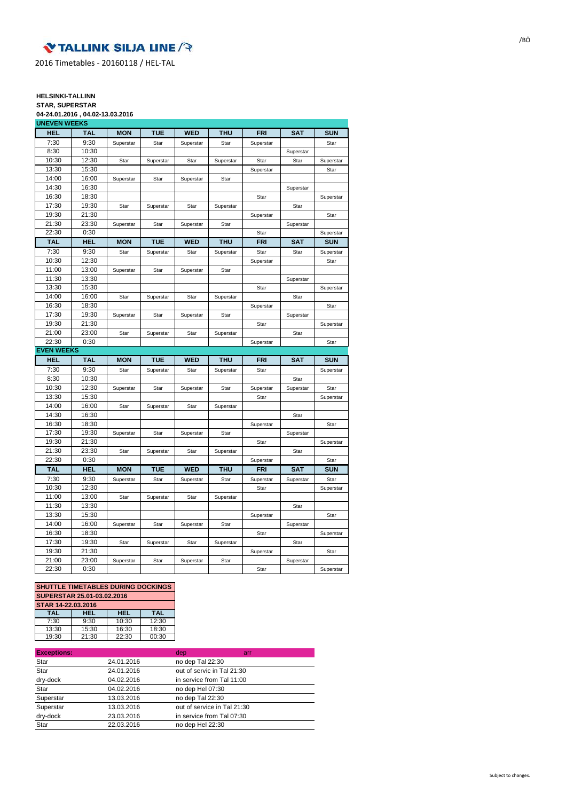## **V TALLINK SILJA LINE**

2016 Timetables - 20160118 / HEL-TAL

### **HELSINKI-TALLINN**

**STAR, SUPERSTAR 04-24.01.2016 , 04.02-13.03.2016**

| <b>UNEVEN WEEKS</b>        |            |            |            |            |            |            |            |            |
|----------------------------|------------|------------|------------|------------|------------|------------|------------|------------|
| <b>HEL</b>                 | <b>TAL</b> | <b>MON</b> | <b>TUE</b> | <b>WED</b> | <b>THU</b> | <b>FRI</b> | <b>SAT</b> | <b>SUN</b> |
| 7:30                       | 9:30       | Superstar  | Star       | Superstar  | Star       | Superstar  |            | Star       |
| 8:30                       | 10:30      |            |            |            |            |            | Superstar  |            |
| 10:30                      | 12:30      | Star       | Superstar  | Star       | Superstar  | Star       | Star       | Superstar  |
| 13:30                      | 15:30      |            |            |            |            | Superstar  |            | Star       |
| 14:00                      | 16:00      | Superstar  | Star       | Superstar  | Star       |            |            |            |
| 14:30                      | 16:30      |            |            |            |            |            | Superstar  |            |
| 16:30                      | 18:30      |            |            |            |            | Star       |            | Superstar  |
| 17:30                      | 19:30      | Star       | Superstar  | Star       | Superstar  |            | Star       |            |
| 19:30                      | 21:30      |            |            |            |            | Superstar  |            | Star       |
| 21:30                      | 23:30      | Superstar  | Star       | Superstar  | Star       |            | Superstar  |            |
| 22:30                      | 0:30       |            |            |            |            | Star       |            | Superstar  |
| <b>TAL</b>                 | <b>HEL</b> | <b>MON</b> | <b>TUE</b> | <b>WED</b> | <b>THU</b> | <b>FRI</b> | <b>SAT</b> | <b>SUN</b> |
| 7:30                       | 9:30       | Star       | Superstar  | Star       | Superstar  | Star       | Star       | Superstar  |
| 10:30                      | 12:30      |            |            |            |            | Superstar  |            | Star       |
| 11:00                      | 13:00      | Superstar  | Star       | Superstar  | Star       |            |            |            |
| 11:30                      | 13:30      |            |            |            |            |            | Superstar  |            |
| 13:30                      | 15:30      |            |            |            |            | Star       |            | Superstar  |
| 14:00                      | 16:00      | Star       | Superstar  | Star       | Superstar  |            | Star       |            |
| 16:30                      | 18:30      |            |            |            |            | Superstar  |            | Star       |
| 17:30                      | 19:30      | Superstar  | Star       | Superstar  | Star       |            | Superstar  |            |
| 19:30                      | 21:30      |            |            |            |            | Star       |            | Superstar  |
| 21:00                      | 23:00      | Star       | Superstar  | Star       | Superstar  |            | Star       |            |
| 22:30                      | 0:30       |            |            |            |            | Superstar  |            | Star       |
|                            |            |            |            |            |            |            |            |            |
|                            |            |            |            |            |            |            |            |            |
| <b>HEL</b>                 | <b>TAL</b> | <b>MON</b> | <b>TUE</b> | <b>WED</b> | <b>THU</b> | <b>FRI</b> | <b>SAT</b> | <b>SUN</b> |
| 7:30                       | 9:30       | Star       | Superstar  | Star       | Superstar  | Star       |            | Superstar  |
| 8:30                       | 10:30      |            |            |            |            |            | Star       |            |
| 10:30                      | 12:30      | Superstar  | Star       | Superstar  | Star       | Superstar  | Superstar  | Star       |
| 13:30                      | 15:30      |            |            |            |            | Star       |            | Superstar  |
| 14:00                      | 16:00      | Star       | Superstar  | Star       | Superstar  |            |            |            |
| 14:30                      | 16:30      |            |            |            |            |            | Star       |            |
| 16:30                      | 18:30      |            |            |            |            | Superstar  |            | Star       |
| 17:30                      | 19:30      | Superstar  | Star       | Superstar  | Star       |            | Superstar  |            |
| 19:30                      | 21:30      |            |            |            |            | Star       |            | Superstar  |
| 21:30                      | 23:30      | Star       | Superstar  | Star       | Superstar  |            | Star       |            |
| <b>EVEN WEEKS</b><br>22:30 | 0:30       |            |            |            |            | Superstar  |            | Star       |
| <b>TAL</b>                 | <b>HEL</b> | <b>MON</b> | <b>TUE</b> | <b>WED</b> | <b>THU</b> | <b>FRI</b> | <b>SAT</b> | <b>SUN</b> |
| 7:30                       | 9:30       | Superstar  | Star       | Superstar  | Star       | Superstar  | Superstar  | Star       |
| 10:30                      | 12:30      |            |            |            |            | Star       |            | Superstar  |
| 11:00                      | 13:00      | Star       | Superstar  | Star       | Superstar  |            |            |            |
| 11:30                      | 13:30      |            |            |            |            |            | Star       |            |
| 13:30                      | 15:30      |            |            |            |            | Superstar  |            | Star       |
| 14:00                      | 16:00      | Superstar  | Star       | Superstar  | Star       |            | Superstar  |            |
| 16:30                      | 18:30      |            |            |            |            | Star       |            | Superstar  |
| 17:30                      | 19:30      | Star       | Superstar  | Star       | Superstar  |            | Star       |            |
| 19:30                      | 21:30      |            |            |            |            | Superstar  |            | Star       |
| 21:00                      | 23:00      | Superstar  | Star       | Superstar  | Star       |            | Superstar  |            |

| <b>SHUTTLE TIMETABLES DURING DOCKINGS</b> |       |            |            |  |  |
|-------------------------------------------|-------|------------|------------|--|--|
| SUPERSTAR 25.01-03.02.2016                |       |            |            |  |  |
| STAR 14-22.03.2016                        |       |            |            |  |  |
| <b>TAL</b>                                | HEL   | <b>HEL</b> | <b>TAL</b> |  |  |
| 7:30                                      | 9:30  | 10:30      | 12:30      |  |  |
| 13:30                                     | 15:30 | 16:30      | 18:30      |  |  |
| 19:30                                     | 21:30 | 22:30      | 00:30      |  |  |

| <b>Exceptions:</b> |            | dep                         | arr |
|--------------------|------------|-----------------------------|-----|
| Star               | 24.01.2016 | no dep Tal 22:30            |     |
| Star               | 24.01.2016 | out of servic in Tal 21:30  |     |
| dry-dock           | 04.02.2016 | in service from Tal 11:00   |     |
| Star               | 04.02.2016 | no dep Hel 07:30            |     |
| Superstar          | 13.03.2016 | no dep Tal 22:30            |     |
| Superstar          | 13.03.2016 | out of service in Tal 21:30 |     |
| dry-dock           | 23.03.2016 | in service from Tal 07:30   |     |
| Star               | 22.03.2016 | no dep Hel 22:30            |     |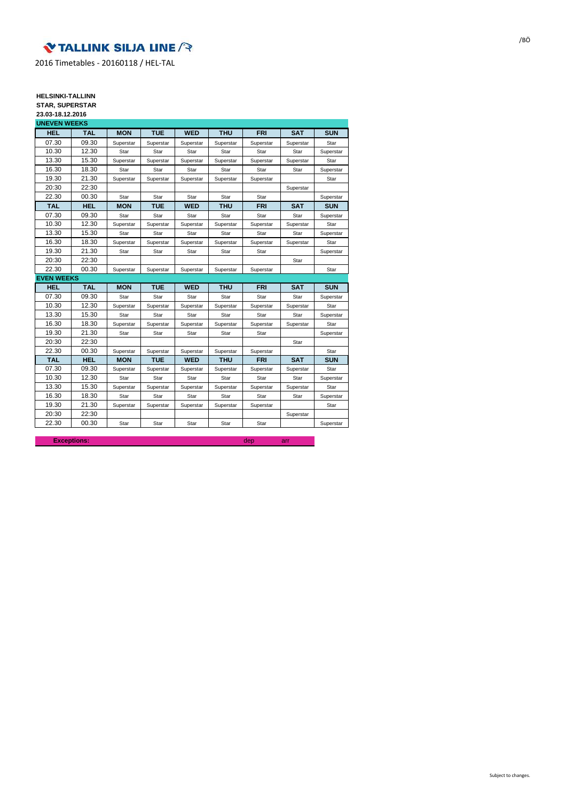## **V TALLINK SILJA LINE**

2016 Timetables - 20160118 / HEL-TAL

### **HELSINKI-TALLINN**

**STAR, SUPERSTAR 23.03-18.12.2016**

| 23.03-10.12.2010  |                                   |            |            |            |            |            |            |
|-------------------|-----------------------------------|------------|------------|------------|------------|------------|------------|
|                   |                                   |            |            |            |            |            |            |
|                   |                                   |            |            |            |            |            | <b>SUN</b> |
| 09.30             | Superstar                         | Superstar  | Superstar  | Superstar  | Superstar  | Superstar  | Star       |
| 12.30             | Star                              | Star       | Star       | Star       | Star       | Star       | Superstar  |
| 15.30             | Superstar                         | Superstar  | Superstar  | Superstar  | Superstar  | Superstar  | Star       |
| 18.30             | Star                              | Star       | Star       | Star       | Star       | Star       | Superstar  |
| 21.30             | Superstar                         | Superstar  | Superstar  | Superstar  | Superstar  |            | Star       |
| 22:30             |                                   |            |            |            |            | Superstar  |            |
| 00.30             | Star                              | Star       | Star       | Star       | Star       |            | Superstar  |
| <b>HEL</b>        | <b>MON</b>                        | TUE        | <b>WED</b> | <b>THU</b> | <b>FRI</b> | <b>SAT</b> | <b>SUN</b> |
| 09.30             | Star                              | Star       | Star       | Star       | Star       | Star       | Superstar  |
| 12.30             | Superstar                         | Superstar  | Superstar  | Superstar  | Superstar  | Superstar  | Star       |
| 15.30             | Star                              | Star       | Star       | Star       | Star       | Star       | Superstar  |
| 18.30             | Superstar                         | Superstar  | Superstar  | Superstar  | Superstar  | Superstar  | Star       |
| 21.30             | Star                              | Star       | Star       | Star       | Star       |            | Superstar  |
| 22:30             |                                   |            |            |            |            | Star       |            |
| 00.30             | Superstar                         | Superstar  | Superstar  | Superstar  | Superstar  |            | Star       |
| <b>EVEN WEEKS</b> |                                   |            |            |            |            |            |            |
| <b>TAL</b>        | <b>MON</b>                        | <b>TUE</b> | <b>WED</b> | <b>THU</b> | <b>FRI</b> | <b>SAT</b> | <b>SUN</b> |
| 09.30             | Star                              | Star       | Star       | Star       | Star       | Star       | Superstar  |
| 12.30             | Superstar                         | Superstar  | Superstar  | Superstar  | Superstar  | Superstar  | Star       |
| 15.30             | Star                              | Star       | Star       | Star       | Star       | Star       | Superstar  |
| 18.30             | Superstar                         | Superstar  | Superstar  | Superstar  | Superstar  | Superstar  | Star       |
| 21.30             | Star                              | Star       | Star       | Star       | Star       |            | Superstar  |
| 22:30             |                                   |            |            |            |            | Star       |            |
| 00.30             | Superstar                         | Superstar  | Superstar  | Superstar  | Superstar  |            | Star       |
| <b>HEL</b>        | <b>MON</b>                        | <b>TUE</b> | <b>WED</b> | <b>THU</b> | <b>FRI</b> | <b>SAT</b> | <b>SUN</b> |
| 09.30             | Superstar                         | Superstar  | Superstar  | Superstar  | Superstar  | Superstar  | Star       |
| 12.30             | Star                              | Star       | Star       | Star       | Star       | Star       | Superstar  |
| 15.30             | Superstar                         | Superstar  | Superstar  | Superstar  | Superstar  | Superstar  | Star       |
| 18.30             | Star                              | Star       | Star       | Star       | Star       | Star       | Superstar  |
| 21.30             | Superstar                         | Superstar  | Superstar  | Superstar  | Superstar  |            | Star       |
| 22:30             |                                   |            |            |            |            | Superstar  |            |
|                   |                                   |            |            |            |            |            |            |
|                   | <b>UNEVEN WEEKS</b><br><b>TAL</b> | <b>MON</b> | <b>TUE</b> | <b>WED</b> | <b>THU</b> | <b>FRI</b> | <b>SAT</b> |

**Exceptions:** dep arrangements of the contract of the contract of the contract of the contract of the contract of the contract of the contract of the contract of the contract of the contract of the contract of the contract

/BÖ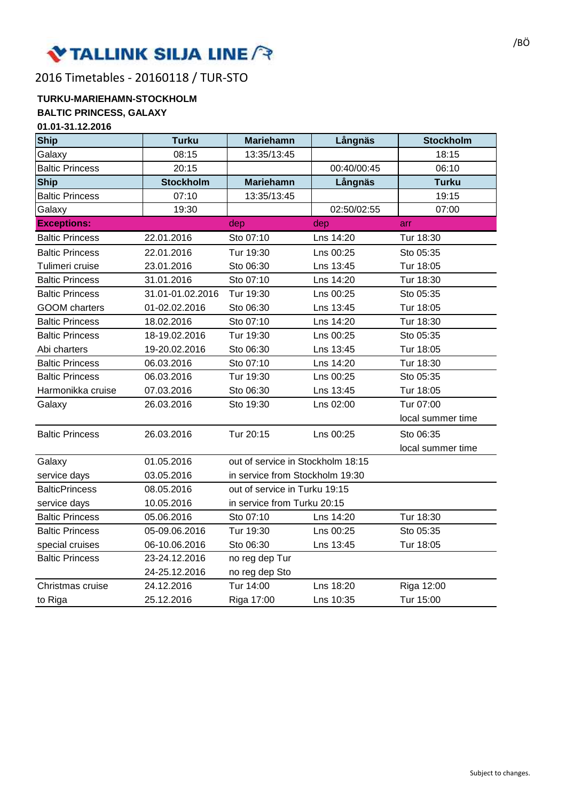# VTALLINK SILJA LINE ?

2016 Timetables - 20160118 / TUR-STO

#### **TURKU-MARIEHAMN-STOCKHOLM BALTIC PRINCESS, GALAXY 01.01-31.12.2016**

| U I .U I <sup>-</sup> J I . I 4.4U I U<br><b>Ship</b> | <b>Turku</b>     | <b>Mariehamn</b>                  | Långnäs     | <b>Stockholm</b>  |
|-------------------------------------------------------|------------------|-----------------------------------|-------------|-------------------|
| Galaxy                                                | 08:15            | 13:35/13:45                       |             | 18:15             |
| <b>Baltic Princess</b>                                | 20:15            |                                   | 00:40/00:45 | 06:10             |
| <b>Ship</b>                                           | <b>Stockholm</b> | <b>Mariehamn</b>                  | Långnäs     | <b>Turku</b>      |
| <b>Baltic Princess</b>                                | 07:10            | 13:35/13:45                       |             | 19:15             |
| Galaxy                                                | 19:30            |                                   | 02:50/02:55 | 07:00             |
| <b>Exceptions:</b>                                    |                  | dep                               | dep         | arr               |
| <b>Baltic Princess</b>                                | 22.01.2016       | Sto 07:10                         | Lns 14:20   | Tur 18:30         |
| <b>Baltic Princess</b>                                | 22.01.2016       | Tur 19:30                         | Lns 00:25   | Sto 05:35         |
| Tulimeri cruise                                       | 23.01.2016       | Sto 06:30                         | Lns 13:45   | Tur 18:05         |
| <b>Baltic Princess</b>                                | 31.01.2016       | Sto 07:10                         | Lns 14:20   | Tur 18:30         |
| <b>Baltic Princess</b>                                | 31.01-01.02.2016 | Tur 19:30                         | Lns 00:25   | Sto 05:35         |
| <b>GOOM</b> charters                                  | 01-02.02.2016    | Sto 06:30                         | Lns 13:45   | Tur 18:05         |
| <b>Baltic Princess</b>                                | 18.02.2016       | Sto 07:10                         | Lns 14:20   | Tur 18:30         |
| <b>Baltic Princess</b>                                | 18-19.02.2016    | Tur 19:30                         | Lns 00:25   | Sto 05:35         |
| Abi charters                                          | 19-20.02.2016    | Sto 06:30                         | Lns 13:45   | Tur 18:05         |
| <b>Baltic Princess</b>                                | 06.03.2016       | Sto 07:10                         | Lns 14:20   | Tur 18:30         |
| <b>Baltic Princess</b>                                | 06.03.2016       | Tur 19:30                         | Lns 00:25   | Sto 05:35         |
| Harmonikka cruise                                     | 07.03.2016       | Sto 06:30                         | Lns 13:45   | Tur 18:05         |
| Galaxy                                                | 26.03.2016       | Sto 19:30                         | Lns 02:00   | Tur 07:00         |
|                                                       |                  |                                   |             | local summer time |
| <b>Baltic Princess</b>                                | 26.03.2016       | Tur 20:15                         | Lns 00:25   | Sto 06:35         |
|                                                       |                  |                                   |             | local summer time |
| Galaxy                                                | 01.05.2016       | out of service in Stockholm 18:15 |             |                   |
| service days                                          | 03.05.2016       | in service from Stockholm 19:30   |             |                   |
| <b>BalticPrincess</b>                                 | 08.05.2016       | out of service in Turku 19:15     |             |                   |
| service days                                          | 10.05.2016       | in service from Turku 20:15       |             |                   |
| <b>Baltic Princess</b>                                | 05.06.2016       | Sto 07:10                         | Lns 14:20   | Tur 18:30         |
| <b>Baltic Princess</b>                                | 05-09.06.2016    | Tur 19:30                         | Lns 00:25   | Sto 05:35         |
| special cruises                                       | 06-10.06.2016    | Sto 06:30                         | Lns 13:45   | Tur 18:05         |
| <b>Baltic Princess</b>                                | 23-24.12.2016    | no reg dep Tur                    |             |                   |
|                                                       | 24-25.12.2016    | no reg dep Sto                    |             |                   |
| Christmas cruise                                      | 24.12.2016       | Tur 14:00                         | Lns 18:20   | Riga 12:00        |
| to Riga                                               | 25.12.2016       | Riga 17:00                        | Lns 10:35   | Tur 15:00         |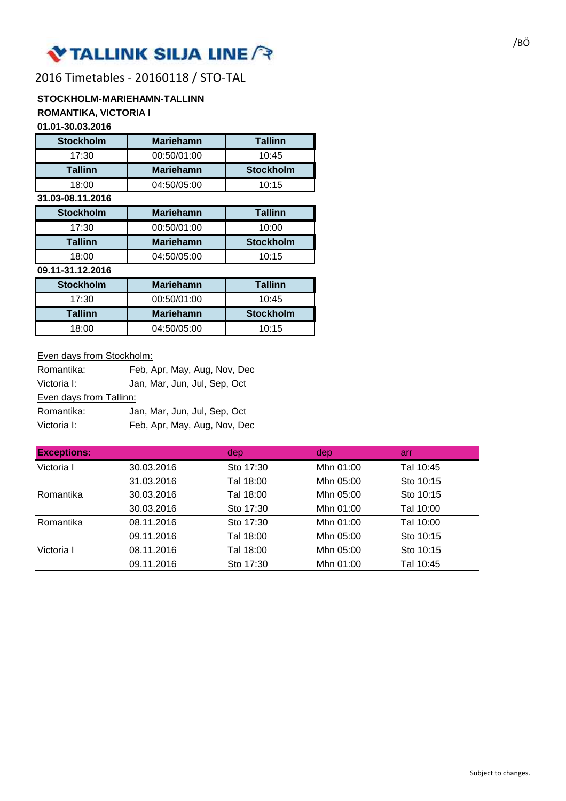# Y TALLINK SILJA LINE / P

## 2016 Timetables - 20160118 / STO-TAL

## **STOCKHOLM-MARIEHAMN-TALLINN ROMANTIKA, VICTORIA I**

### **01.01-30.03.2016**

| <b>Stockholm</b> | <b>Mariehamn</b> | <b>Tallinn</b>   |
|------------------|------------------|------------------|
| 17:30            | 00:50/01:00      | 10:45            |
| <b>Tallinn</b>   | <b>Mariehamn</b> | <b>Stockholm</b> |
| 18:00            | 04:50/05:00      | 10:15            |
| 31.03-08.11.2016 |                  |                  |
| <b>Stockholm</b> | <b>Mariehamn</b> | <b>Tallinn</b>   |
| 17:30            | 00:50/01:00      | 10:00            |
| <b>Tallinn</b>   | <b>Mariehamn</b> | <b>Stockholm</b> |
| 18:00            | 04:50/05:00      | 10:15            |
| 09.11-31.12.2016 |                  |                  |
| <b>Stockholm</b> | <b>Mariehamn</b> | <b>Tallinn</b>   |
| 17:30            | 00:50/01:00      | 10:45            |

Tallinn | Mariehamn | Stockholm 18:00 04:50/05:00 10:15

### Even days from Stockholm:

| Romantika:              | Feb, Apr, May, Aug, Nov, Dec |
|-------------------------|------------------------------|
| Victoria I:             | Jan, Mar, Jun, Jul, Sep, Oct |
| Even days from Tallinn: |                              |
| Romantika:              | Jan, Mar, Jun, Jul, Sep, Oct |
| Victoria I:             | Feb, Apr, May, Aug, Nov, Dec |

| <b>Exceptions:</b> |            | dep       | dep       | <b>arr</b> |
|--------------------|------------|-----------|-----------|------------|
| Victoria I         | 30.03.2016 | Sto 17:30 | Mhn 01:00 | Tal 10:45  |
|                    | 31.03.2016 | Tal 18:00 | Mhn 05:00 | Sto 10:15  |
| Romantika          | 30.03.2016 | Tal 18:00 | Mhn 05:00 | Sto 10:15  |
|                    | 30.03.2016 | Sto 17:30 | Mhn 01:00 | Tal 10:00  |
| Romantika          | 08.11.2016 | Sto 17:30 | Mhn 01:00 | Tal 10:00  |
|                    | 09.11.2016 | Tal 18:00 | Mhn 05:00 | Sto 10:15  |
| Victoria I         | 08.11.2016 | Tal 18:00 | Mhn 05:00 | Sto 10:15  |
|                    | 09.11.2016 | Sto 17:30 | Mhn 01:00 | Tal 10:45  |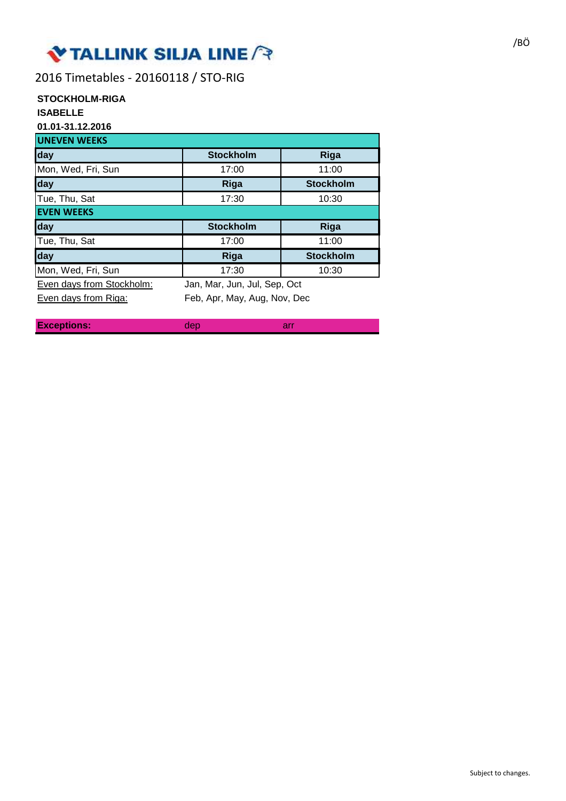## **V TALLINK SILJA LINE**

2016 Timetables - 20160118 / STO-RIG

## **STOCKHOLM-RIGA**

## **ISABELLE**

**01.01-31.12.2016**

| <b>UNEVEN WEEKS</b>       |                              |                  |  |  |
|---------------------------|------------------------------|------------------|--|--|
| day                       | <b>Stockholm</b>             | Riga             |  |  |
| Mon, Wed, Fri, Sun        | 17:00                        | 11:00            |  |  |
| day                       | Riga                         | <b>Stockholm</b> |  |  |
| Tue, Thu, Sat             | 17:30                        | 10:30            |  |  |
| <b>EVEN WEEKS</b>         |                              |                  |  |  |
|                           |                              |                  |  |  |
| day                       | <b>Stockholm</b>             | <b>Riga</b>      |  |  |
| Tue, Thu, Sat             | 17:00                        | 11:00            |  |  |
| day                       | Riga                         | <b>Stockholm</b> |  |  |
| Mon, Wed, Fri, Sun        | 17:30                        | 10:30            |  |  |
| Even days from Stockholm: | Jan, Mar, Jun, Jul, Sep, Oct |                  |  |  |

**Exceptions:** arreft dep

dep